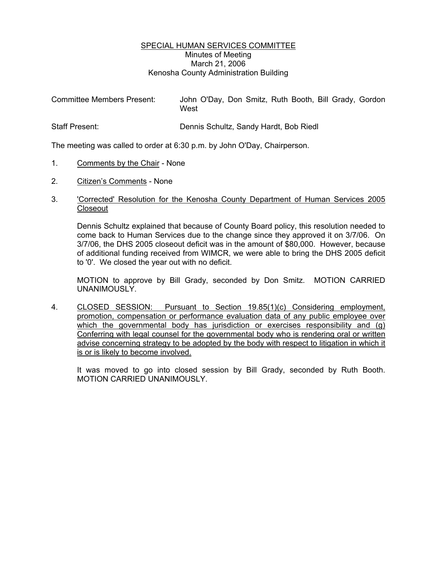## SPECIAL HUMAN SERVICES COMMITTEE Minutes of Meeting March 21, 2006 Kenosha County Administration Building

| <b>Committee Members Present:</b> | John O'Day, Don Smitz, Ruth Booth, Bill Grady, Gordon<br>West |
|-----------------------------------|---------------------------------------------------------------|
| <b>Staff Present:</b>             | Dennis Schultz, Sandy Hardt, Bob Riedl                        |

The meeting was called to order at 6:30 p.m. by John O'Day, Chairperson.

- 1. Comments by the Chair None
- 2. Citizen's Comments None

## 3. 'Corrected' Resolution for the Kenosha County Department of Human Services 2005 **Closeout**

Dennis Schultz explained that because of County Board policy, this resolution needed to come back to Human Services due to the change since they approved it on 3/7/06. On 3/7/06, the DHS 2005 closeout deficit was in the amount of \$80,000. However, because of additional funding received from WIMCR, we were able to bring the DHS 2005 deficit to '0'. We closed the year out with no deficit.

MOTION to approve by Bill Grady, seconded by Don Smitz. MOTION CARRIED UNANIMOUSLY.

4. CLOSED SESSION: Pursuant to Section 19.85(1)(c) Considering employment, promotion, compensation or performance evaluation data of any public employee over which the governmental body has jurisdiction or exercises responsibility and (g) Conferring with legal counsel for the governmental body who is rendering oral or written advise concerning strategy to be adopted by the body with respect to litigation in which it is or is likely to become involved.

It was moved to go into closed session by Bill Grady, seconded by Ruth Booth. MOTION CARRIED UNANIMOUSLY.